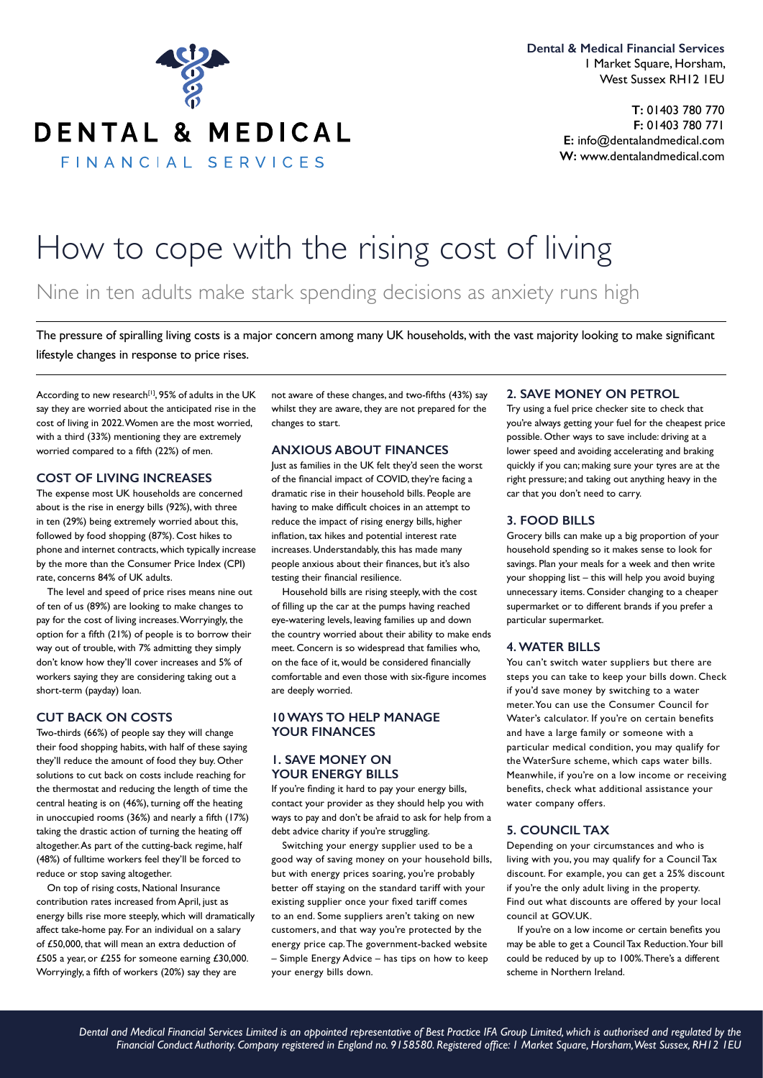

DENTAL & MEDICAL

FINANCIAL SERVICES

**Dental & Medical Financial Services** 1 Market Square, Horsham, West Sussex RH12 1EU

> **T:** 01403 780 770 **F:** 01403 780 771 **E:** info@dentalandmedical.com **W:** www.dentalandmedical.com

# How to cope with the rising cost of living

Nine in ten adults make stark spending decisions as anxiety runs high

The pressure of spiralling living costs is a major concern among many UK households, with the vast majority looking to make significant lifestyle changes in response to price rises.

According to new research<sup>[1]</sup>, 95% of adults in the UK say they are worried about the anticipated rise in the cost of living in 2022. Women are the most worried, with a third (33%) mentioning they are extremely worried compared to a fifth (22%) of men.

#### **COST OF LIVING INCREASES**

The expense most UK households are concerned about is the rise in energy bills (92%), with three in ten (29%) being extremely worried about this, followed by food shopping (87%). Cost hikes to phone and internet contracts, which typically increase by the more than the Consumer Price Index (CPI) rate, concerns 84% of UK adults.

The level and speed of price rises means nine out of ten of us (89%) are looking to make changes to pay for the cost of living increases. Worryingly, the option for a fifth (21%) of people is to borrow their way out of trouble, with 7% admitting they simply don't know how they'll cover increases and 5% of workers saying they are considering taking out a short-term (payday) loan.

#### **CUT BACK ON COSTS**

Two-thirds (66%) of people say they will change their food shopping habits, with half of these saying they'll reduce the amount of food they buy. Other solutions to cut back on costs include reaching for the thermostat and reducing the length of time the central heating is on (46%), turning off the heating in unoccupied rooms  $(36%)$  and nearly a fifth  $(17%)$ taking the drastic action of turning the heating off altogether. As part of the cutting-back regime, half (48%) of fulltime workers feel they'll be forced to reduce or stop saving altogether.

On top of rising costs, National Insurance contribution rates increased from April, just as energy bills rise more steeply, which will dramatically affect take-home pay. For an individual on a salary of £50,000, that will mean an extra deduction of £505 a year, or £255 for someone earning £30,000. Worryingly, a fifth of workers (20%) say they are

not aware of these changes, and two-fifths (43%) say whilst they are aware, they are not prepared for the changes to start.

# **ANXIOUS ABOUT FINANCES**

Just as families in the UK felt they'd seen the worst of the financial impact of COVID, they're facing a dramatic rise in their household bills. People are having to make difficult choices in an attempt to reduce the impact of rising energy bills, higher inflation, tax hikes and potential interest rate increases. Understandably, this has made many people anxious about their finances, but it's also testing their financial resilience.

Household bills are rising steeply, with the cost of filling up the car at the pumps having reached eye-watering levels, leaving families up and down the country worried about their ability to make ends meet. Concern is so widespread that families who, on the face of it, would be considered financially comfortable and even those with six-figure incomes are deeply worried.

# **10 WAYS TO HELP MANAGE YOUR FINANCES**

# **1. SAVE MONEY ON YOUR ENERGY BILLS**

If you're finding it hard to pay your energy bills, contact your provider as they should help you with ways to pay and don't be afraid to ask for help from a debt advice charity if you're struggling.

Switching your energy supplier used to be a good way of saving money on your household bills, but with energy prices soaring, you're probably better off staying on the standard tariff with your existing supplier once your fixed tariff comes to an end. Some suppliers aren't taking on new customers, and that way you're protected by the energy price cap. The government-backed website – Simple Energy Advice – has tips on how to keep your energy bills down.

#### **2. SAVE MONEY ON PETROL**

Try using a fuel price checker site to check that you're always getting your fuel for the cheapest price possible. Other ways to save include: driving at a lower speed and avoiding accelerating and braking quickly if you can; making sure your tyres are at the right pressure; and taking out anything heavy in the car that you don't need to carry.

#### **3. FOOD BILLS**

Grocery bills can make up a big proportion of your household spending so it makes sense to look for savings. Plan your meals for a week and then write your shopping list – this will help you avoid buying unnecessary items. Consider changing to a cheaper supermarket or to different brands if you prefer a particular supermarket.

#### **4. WATER BILLS**

You can't switch water suppliers but there are steps you can take to keep your bills down. Check if you'd save money by switching to a water meter. You can use the Consumer Council for Water's calculator. If you're on certain benefits and have a large family or someone with a particular medical condition, you may qualify for the WaterSure scheme, which caps water bills. Meanwhile, if you're on a low income or receiving benefits, check what additional assistance your water company offers.

#### **5. COUNCIL TAX**

Depending on your circumstances and who is living with you, you may qualify for a Council Tax discount. For example, you can get a 25% discount if you're the only adult living in the property. Find out what discounts are offered by your local council at GOV.UK.

If you're on a low income or certain benefits you may be able to get a Council Tax Reduction. Your bill could be reduced by up to 100%. There's a different scheme in Northern Ireland.